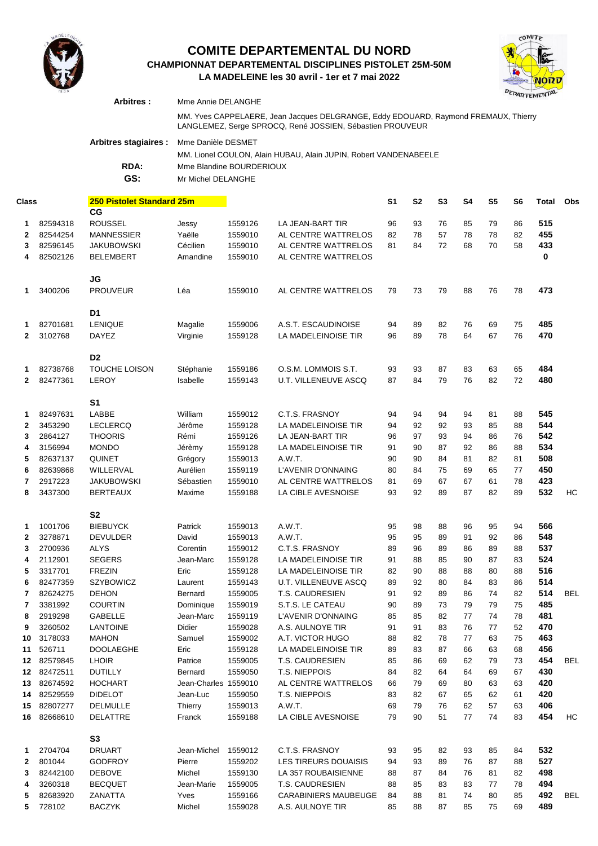

#### **LA MADELEINE les 30 avril - 1er et 7 mai 2022 CHAMPIONNAT DEPARTEMENTAL DISCIPLINES PISTOLET 25M-50M COMITE DEPARTEMENTAL DU NORD**



|                                    |                     | Arbitres :                       | MSE<br>Mme Annie DELANGHE                                                                                                                        |                    |                                                    |                |                |                |           |                |                |            |            |
|------------------------------------|---------------------|----------------------------------|--------------------------------------------------------------------------------------------------------------------------------------------------|--------------------|----------------------------------------------------|----------------|----------------|----------------|-----------|----------------|----------------|------------|------------|
|                                    |                     |                                  | MM. Yves CAPPELAERE, Jean Jacques DELGRANGE, Eddy EDOUARD, Raymond FREMAUX, Thierry<br>LANGLEMEZ, Serge SPROCQ, René JOSSIEN, Sébastien PROUVEUR |                    |                                                    |                |                |                |           |                |                |            |            |
|                                    |                     | Arbitres stagiaires :            | Mme Danièle DESMET<br>MM. Lionel COULON, Alain HUBAU, Alain JUPIN, Robert VANDENABEELE                                                           |                    |                                                    |                |                |                |           |                |                |            |            |
|                                    |                     | RDA:                             | Mme Blandine BOURDERIOUX                                                                                                                         |                    |                                                    |                |                |                |           |                |                |            |            |
|                                    |                     | GS:                              | Mr Michel DELANGHE                                                                                                                               |                    |                                                    |                |                |                |           |                |                |            |            |
| 250 Pistolet Standard 25m<br>Class |                     |                                  |                                                                                                                                                  |                    |                                                    | S <sub>1</sub> | S <sub>2</sub> | S <sub>3</sub> | <b>S4</b> | S <sub>5</sub> | S <sub>6</sub> | Total      | Obs        |
| 1.                                 | 82594318            | CG<br><b>ROUSSEL</b>             | Jessy                                                                                                                                            | 1559126            | LA JEAN-BART TIR                                   | 96             | 93             | 76             | 85        | 79             | 86             | 515        |            |
| 2                                  | 82544254            | <b>MANNESSIER</b>                | Yaëlle                                                                                                                                           | 1559010            | AL CENTRE WATTRELOS                                | 82             | 78             | 57             | 78        | 78             | 82             | 455        |            |
| 3                                  | 82596145            | <b>JAKUBOWSKI</b>                | Cécilien                                                                                                                                         | 1559010            | AL CENTRE WATTRELOS                                | 81             | 84             | 72             | 68        | 70             | 58             | 433        |            |
| 4                                  | 82502126            | <b>BELEMBERT</b>                 | Amandine                                                                                                                                         | 1559010            | AL CENTRE WATTRELOS                                |                |                |                |           |                |                | 0          |            |
|                                    |                     | JG                               |                                                                                                                                                  |                    |                                                    |                |                |                |           |                |                |            |            |
| 1                                  | 3400206             | <b>PROUVEUR</b>                  | Léa                                                                                                                                              | 1559010            | AL CENTRE WATTRELOS                                | 79             | 73             | 79             | 88        | 76             | 78             | 473        |            |
|                                    |                     | D1                               |                                                                                                                                                  |                    |                                                    |                |                |                |           |                |                |            |            |
| 1.                                 | 82701681            | <b>LENIQUE</b>                   | Magalie                                                                                                                                          | 1559006            | A.S.T. ESCAUDINOISE                                | 94             | 89             | 82             | 76        | 69             | 75             | 485        |            |
| $\mathbf{2}$                       | 3102768             | DAYEZ                            | Virginie                                                                                                                                         | 1559128            | LA MADELEINOISE TIR                                | 96             | 89             | 78             | 64        | 67             | 76             | 470        |            |
|                                    |                     | D <sub>2</sub>                   |                                                                                                                                                  |                    |                                                    |                |                |                |           |                |                |            |            |
| 1                                  | 82738768            | <b>TOUCHE LOISON</b>             | Stéphanie                                                                                                                                        | 1559186            | O.S.M. LOMMOIS S.T.                                | 93             | 93             | 87             | 83        | 63             | 65             | 484        |            |
| $\mathbf{2}$                       | 82477361            | LEROY                            | Isabelle                                                                                                                                         | 1559143            | <b>U.T. VILLENEUVE ASCQ</b>                        | 87             | 84             | 79             | 76        | 82             | 72             | 480        |            |
|                                    |                     | S <sub>1</sub>                   |                                                                                                                                                  |                    |                                                    |                |                |                |           |                |                |            |            |
| 1.                                 | 82497631            | LABBE                            | William                                                                                                                                          | 1559012            | C.T.S. FRASNOY                                     | 94             | 94             | 94             | 94        | 81             | 88             | 545        |            |
| 2                                  | 3453290             | <b>LECLERCQ</b>                  | Jérôme                                                                                                                                           | 1559128            | LA MADELEINOISE TIR                                | 94             | 92             | 92             | 93        | 85             | 88             | 544        |            |
| 3                                  | 2864127             | <b>THOORIS</b>                   | Rémi                                                                                                                                             | 1559126            | LA JEAN-BART TIR                                   | 96             | 97             | 93             | 94        | 86             | 76             | 542        |            |
| 4                                  | 3156994             | <b>MONDO</b>                     | Jérèmy                                                                                                                                           | 1559128            | LA MADELEINOISE TIR                                | 91             | 90             | 87             | 92        | 86             | 88             | 534        |            |
| 5                                  | 82637137            | <b>QUINET</b>                    | Grégory                                                                                                                                          | 1559013            | A.W.T.                                             | 90             | 90             | 84             | 81        | 82             | 81             | 508        |            |
| 6                                  | 82639868            | WILLERVAL                        | Aurélien                                                                                                                                         | 1559119            | L'AVENIR D'ONNAING                                 | 80             | 84             | 75             | 69        | 65             | 77             | 450        |            |
| 7                                  | 2917223             | <b>JAKUBOWSKI</b>                | Sébastien                                                                                                                                        | 1559010            | AL CENTRE WATTRELOS                                | 81             | 69             | 67             | 67        | 61             | 78             | 423        |            |
| 8                                  | 3437300             | <b>BERTEAUX</b>                  | Maxime                                                                                                                                           | 1559188            | LA CIBLE AVESNOISE                                 | 93             | 92             | 89             | 87        | 82             | 89             | 532        | НC         |
|                                    |                     | S <sub>2</sub>                   |                                                                                                                                                  |                    |                                                    |                |                |                |           |                |                |            |            |
| 1                                  | 1001706             | <b>BIEBUYCK</b>                  | Patrick                                                                                                                                          | 1559013            | A.W.T.                                             | 95             | 98             | 88             | 96        | 95             | 94             | 566        |            |
| 2                                  | 3278871             | DEVULDER                         | David                                                                                                                                            | 1559013            | A.W.T.                                             | 95             | 95             | 89             | 91        | 92             | 86             | 548        |            |
| 3                                  | 2700936             | ALYS                             | Corentin                                                                                                                                         | 1559012            | C.T.S. FRASNOY                                     | 89             | 96             | 89             | 86        | 89             | 88             | 537        |            |
| 4                                  | 2112901             | SEGERS                           | Jean-Marc                                                                                                                                        | 1559128            | LA MADELEINOISE TIR                                | 91             | 88             | 85             | 90        | 87             | 83             | 524        |            |
| 5                                  | 3317701<br>82477359 | <b>FREZIN</b>                    | Eric<br>Laurent                                                                                                                                  | 1559128<br>1559143 | LA MADELEINOISE TIR<br><b>U.T. VILLENEUVE ASCQ</b> | 82             | 90             | 88             | 88        | 80             | 88             | 516<br>514 |            |
| 6<br>7                             | 82624275            | <b>SZYBOWICZ</b><br><b>DEHON</b> | Bernard                                                                                                                                          | 1559005            | T.S. CAUDRESIEN                                    | 89<br>91       | 92<br>92       | 80<br>89       | 84<br>86  | 83<br>74       | 86<br>82       | 514        | <b>BEL</b> |
| 7                                  | 3381992             | <b>COURTIN</b>                   | Dominique                                                                                                                                        | 1559019            | S.T.S. LE CATEAU                                   | 90             | 89             | 73             | 79        | 79             | 75             | 485        |            |
| 8                                  | 2919298             | <b>GABELLE</b>                   | Jean-Marc                                                                                                                                        | 1559119            | L'AVENIR D'ONNAING                                 | 85             | 85             | 82             | 77        | 74             | 78             | 481        |            |
| 9                                  | 3260502             | <b>LANTOINE</b>                  | Didier                                                                                                                                           | 1559028            | A.S. AULNOYE TIR                                   | 91             | 91             | 83             | 76        | 77             | 52             | 470        |            |
| 10                                 | 3178033             | <b>MAHON</b>                     | Samuel                                                                                                                                           | 1559002            | A.T. VICTOR HUGO                                   | 88             | 82             | 78             | 77        | 63             | 75             | 463        |            |
| 11                                 | 526711              | <b>DOOLAEGHE</b>                 | Eric                                                                                                                                             | 1559128            | LA MADELEINOISE TIR                                | 89             | 83             | 87             | 66        | 63             | 68             | 456        |            |
| 12                                 | 82579845            | <b>LHOIR</b>                     | Patrice                                                                                                                                          | 1559005            | T.S. CAUDRESIEN                                    | 85             | 86             | 69             | 62        | 79             | 73             | 454        | <b>BEL</b> |
| 12                                 | 82472511            | <b>DUTILLY</b>                   | Bernard                                                                                                                                          | 1559050            | T.S. NIEPPOIS                                      | 84             | 82             | 64             | 64        | 69             | 67             | 430        |            |
| 13                                 | 82674592            | <b>HOCHART</b>                   | Jean-Charles 1559010                                                                                                                             |                    | AL CENTRE WATTRELOS                                | 66             | 79             | 69             | 80        | 63             | 63             | 420        |            |
| 14                                 | 82529559            | <b>DIDELOT</b>                   | Jean-Luc                                                                                                                                         | 1559050            | T.S. NIEPPOIS                                      | 83             | 82             | 67             | 65        | 62             | 61             | 420        |            |
| 15                                 | 82807277            | <b>DELMULLE</b>                  | Thierry                                                                                                                                          | 1559013            | A.W.T.                                             | 69             | 79             | 76             | 62        | 57             | 63             | 406        |            |
| 16                                 | 82668610            | <b>DELATTRE</b>                  | Franck                                                                                                                                           | 1559188            | LA CIBLE AVESNOISE                                 | 79             | 90             | 51             | 77        | 74             | 83             | 454        | HC         |
|                                    |                     | S <sub>3</sub>                   |                                                                                                                                                  |                    |                                                    |                |                |                |           |                |                |            |            |
| 1.                                 | 2704704             | <b>DRUART</b>                    | Jean-Michel                                                                                                                                      | 1559012            | C.T.S. FRASNOY                                     | 93             | 95             | 82             | 93        | 85             | 84             | 532        |            |
| 2                                  | 801044              | <b>GODFROY</b>                   | Pierre                                                                                                                                           | 1559202            | LES TIREURS DOUAISIS                               | 94             | 93             | 89             | 76        | 87             | 88             | 527        |            |
| 3                                  | 82442100            | <b>DEBOVE</b>                    | Michel                                                                                                                                           | 1559130            | LA 357 ROUBAISIENNE                                | 88             | 87             | 84             | 76        | 81             | 82             | 498        |            |
| 4                                  | 3260318             | <b>BECQUET</b>                   | Jean-Marie                                                                                                                                       | 1559005            | <b>T.S. CAUDRESIEN</b>                             | 88             | 85             | 83             | 83        | 77             | 78             | 494        |            |
| 5                                  | 82683920            | ZANATTA                          | Yves                                                                                                                                             | 1559166            | CARABINIERS MAUBEUGE                               | 84             | 88             | 81             | 74        | 80             | 85             | 492        | <b>BEL</b> |

728102 BACZYK Michel 1559028 A.S. AULNOYE TIR 85 88 87 85 75 69 **489**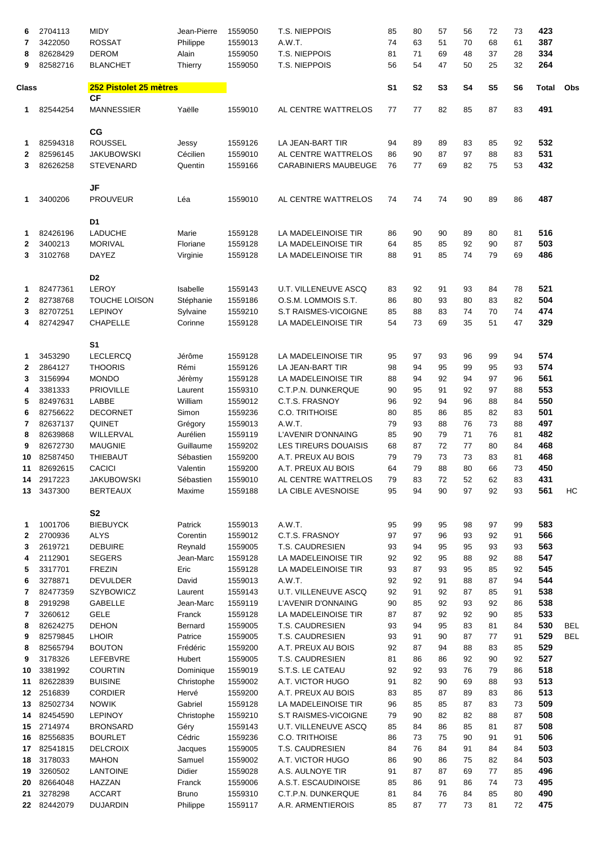| 6            | 2704113              | <b>MIDY</b>                            | Jean-Pierre             | 1559050            | T.S. NIEPPOIS                               | 85             | 80             | 57             | 56        | 72             | 73             | 423          |                          |
|--------------|----------------------|----------------------------------------|-------------------------|--------------------|---------------------------------------------|----------------|----------------|----------------|-----------|----------------|----------------|--------------|--------------------------|
| 7            | 3422050              | <b>ROSSAT</b>                          | Philippe                | 1559013            | A.W.T.                                      | 74             | 63             | 51             | 70        | 68             | 61             | 387          |                          |
| 8<br>9       | 82628429<br>82582716 | <b>DEROM</b><br><b>BLANCHET</b>        | Alain<br><b>Thierry</b> | 1559050<br>1559050 | T.S. NIEPPOIS<br>T.S. NIEPPOIS              | 81<br>56       | 71<br>54       | 69<br>47       | 48<br>50  | 37<br>25       | 28<br>32       | 334<br>264   |                          |
|              |                      |                                        |                         |                    |                                             |                |                |                |           |                |                |              |                          |
| Class        |                      | 252 Pistolet 25 mètres<br><b>CF</b>    |                         |                    |                                             | S <sub>1</sub> | S <sub>2</sub> | S <sub>3</sub> | <b>S4</b> | S <sub>5</sub> | S <sub>6</sub> | <b>Total</b> | Obs                      |
| 1.           | 82544254             | <b>MANNESSIER</b>                      | Yaëlle                  | 1559010            | AL CENTRE WATTRELOS                         | 77             | 77             | 82             | 85        | 87             | 83             | 491          |                          |
|              |                      | CG                                     |                         |                    |                                             |                |                |                |           |                |                |              |                          |
| 1            | 82594318             | <b>ROUSSEL</b>                         | Jessy                   | 1559126            | LA JEAN-BART TIR                            | 94             | 89             | 89             | 83        | 85             | 92             | 532          |                          |
| 2            | 82596145             | <b>JAKUBOWSKI</b>                      | Cécilien                | 1559010            | AL CENTRE WATTRELOS                         | 86             | 90             | 87             | 97        | 88             | 83             | 531          |                          |
| 3            | 82626258             | <b>STEVENARD</b>                       | Quentin                 | 1559166            | <b>CARABINIERS MAUBEUGE</b>                 | 76             | 77             | 69             | 82        | 75             | 53             | 432          |                          |
|              |                      |                                        |                         |                    |                                             |                |                |                |           |                |                |              |                          |
|              | 3400206              | <b>JF</b><br><b>PROUVEUR</b>           | Léa                     | 1559010            | AL CENTRE WATTRELOS                         | 74             | 74             | 74             | 90        | 89             | 86             | 487          |                          |
| 1.           |                      |                                        |                         |                    |                                             |                |                |                |           |                |                |              |                          |
|              |                      | D <sub>1</sub>                         |                         |                    |                                             |                |                |                |           |                |                |              |                          |
| 1            | 82426196             | <b>LADUCHE</b>                         | Marie                   | 1559128            | LA MADELEINOISE TIR                         | 86             | 90             | 90             | 89        | 80             | 81             | 516          |                          |
| 2            | 3400213              | <b>MORIVAL</b>                         | Floriane                | 1559128            | LA MADELEINOISE TIR                         | 64             | 85             | 85             | 92        | 90             | 87             | 503          |                          |
| 3            | 3102768              | <b>DAYEZ</b>                           | Virginie                | 1559128            | LA MADELEINOISE TIR                         | 88             | 91             | 85             | 74        | 79             | 69             | 486          |                          |
|              |                      |                                        |                         |                    |                                             |                |                |                |           |                |                |              |                          |
|              |                      | D <sub>2</sub>                         |                         |                    |                                             |                |                |                |           |                |                |              |                          |
| 1.           | 82477361             | <b>LEROY</b>                           | Isabelle                | 1559143            | <b>U.T. VILLENEUVE ASCQ</b>                 | 83             | 92             | 91             | 93        | 84             | 78             | 521          |                          |
| $\mathbf{2}$ | 82738768<br>82707251 | <b>TOUCHE LOISON</b><br><b>LEPINOY</b> | Stéphanie               | 1559186<br>1559210 | O.S.M. LOMMOIS S.T.<br>S.T RAISMES-VICOIGNE | 86<br>85       | 80             | 93<br>83       | 80<br>74  | 83<br>70       | 82<br>74       | 504<br>474   |                          |
| 3<br>4       | 82742947             | <b>CHAPELLE</b>                        | Sylvaine<br>Corinne     | 1559128            | LA MADELEINOISE TIR                         | 54             | 88<br>73       | 69             | 35        | 51             | 47             | 329          |                          |
|              |                      |                                        |                         |                    |                                             |                |                |                |           |                |                |              |                          |
|              |                      | S <sub>1</sub>                         |                         |                    |                                             |                |                |                |           |                |                |              |                          |
| 1.           | 3453290              | <b>LECLERCQ</b>                        | Jérôme                  | 1559128            | LA MADELEINOISE TIR                         | 95             | 97             | 93             | 96        | 99             | 94             | 574          |                          |
| $\mathbf{2}$ | 2864127              | <b>THOORIS</b>                         | Rémi                    | 1559126            | LA JEAN-BART TIR                            | 98             | 94             | 95             | 99        | 95             | 93             | 574          |                          |
| 3            | 3156994              | <b>MONDO</b>                           | Jérèmy                  | 1559128            | LA MADELEINOISE TIR                         | 88             | 94             | 92             | 94        | 97             | 96             | 561          |                          |
| 4            | 3381333              | <b>PRIOVILLE</b>                       | Laurent                 | 1559310            | C.T.P.N. DUNKERQUE                          | 90             | 95             | 91             | 92        | 97             | 88             | 553          |                          |
| 5            | 82497631             | LABBE                                  | William                 | 1559012            | C.T.S. FRASNOY                              | 96             | 92             | 94             | 96        | 88             | 84             | 550          |                          |
| 6            | 82756622             | <b>DECORNET</b>                        | Simon                   | 1559236            | <b>C.O. TRITHOISE</b>                       | 80             | 85             | 86             | 85        | 82             | 83             | 501          |                          |
| 7<br>8       | 82637137<br>82639868 | <b>QUINET</b><br>WILLERVAL             | Grégory<br>Aurélien     | 1559013<br>1559119 | A.W.T.<br>L'AVENIR D'ONNAING                | 79<br>85       | 93<br>90       | 88<br>79       | 76<br>71  | 73<br>76       | 88<br>81       | 497<br>482   |                          |
| 9            | 82672730             | <b>MAUGNIE</b>                         | Guillaume               | 1559202            | LES TIREURS DOUAISIS                        | 68             | 87             | 72             | 77        | 80             | 84             | 468          |                          |
| 10           | 82587450             | <b>THIEBAUT</b>                        | Sébastien               | 1559200            | A.T. PREUX AU BOIS                          | 79             | 79             | 73             | 73        | 83             | 81             | 468          |                          |
| 11           | 82692615             | <b>CACICI</b>                          | Valentin                | 1559200            | A.T. PREUX AU BOIS                          | 64             | 79             | 88             | 80        | 66             | 73             | 450          |                          |
| 14           | 2917223              | <b>JAKUBOWSKI</b>                      | Sébastien               | 1559010            | AL CENTRE WATTRELOS                         | 79             | 83             | 72             | 52        | 62             | 83             | 431          |                          |
| 13           | 3437300              | <b>BERTEAUX</b>                        | Maxime                  | 1559188            | LA CIBLE AVESNOISE                          | 95             | 94             | 90             | 97        | 92             | 93             | 561          | НC                       |
|              |                      |                                        |                         |                    |                                             |                |                |                |           |                |                |              |                          |
|              |                      | S <sub>2</sub>                         |                         |                    |                                             |                |                |                |           |                |                |              |                          |
| 1.           | 1001706              | <b>BIEBUYCK</b>                        | Patrick                 | 1559013            | A.W.T.                                      | 95<br>97       | 99             | 95             | 98        | 97             | 99             | 583<br>566   |                          |
| 2<br>3       | 2700936<br>2619721   | <b>ALYS</b><br><b>DEBUIRE</b>          | Corentin<br>Reynald     | 1559012<br>1559005 | C.T.S. FRASNOY<br>T.S. CAUDRESIEN           | 93             | 97<br>94       | 96<br>95       | 93<br>95  | 92<br>93       | 91<br>93       | 563          |                          |
| 4            | 2112901              | <b>SEGERS</b>                          | Jean-Marc               | 1559128            | LA MADELEINOISE TIR                         | 92             | 92             | 95             | 88        | 92             | 88             | 547          |                          |
| 5            | 3317701              | <b>FREZIN</b>                          | Eric                    | 1559128            | LA MADELEINOISE TIR                         | 93             | 87             | 93             | 95        | 85             | 92             | 545          |                          |
| 6            | 3278871              | <b>DEVULDER</b>                        | David                   | 1559013            | A.W.T.                                      | 92             | 92             | 91             | 88        | 87             | 94             | 544          |                          |
| 7            | 82477359             | SZYBOWICZ                              | Laurent                 | 1559143            | <b>U.T. VILLENEUVE ASCQ</b>                 | 92             | 91             | 92             | 87        | 85             | 91             | 538          |                          |
| 8            | 2919298              | <b>GABELLE</b>                         | Jean-Marc               | 1559119            | L'AVENIR D'ONNAING                          | 90             | 85             | 92             | 93        | 92             | 86             | 538          |                          |
| 7            | 3260612              | <b>GELE</b>                            | Franck                  | 1559128            | LA MADELEINOISE TIR                         | 87             | 87             | 92             | 92        | 90             | 85             | 533          |                          |
| 8            | 82624275             | <b>DEHON</b>                           | Bernard                 | 1559005            | T.S. CAUDRESIEN<br>T.S. CAUDRESIEN          | 93             | 94             | 95             | 83        | 81             | 84             | 530<br>529   | <b>BEL</b><br><b>BEL</b> |
| 9<br>8       | 82579845<br>82565794 | <b>LHOIR</b><br><b>BOUTON</b>          | Patrice<br>Frédéric     | 1559005<br>1559200 | A.T. PREUX AU BOIS                          | 93<br>92       | 91<br>87       | 90<br>94       | 87<br>88  | 77<br>83       | 91<br>85       | 529          |                          |
| 9            | 3178326              | LEFEBVRE                               | Hubert                  | 1559005            | T.S. CAUDRESIEN                             | 81             | 86             | 86             | 92        | 90             | 92             | 527          |                          |
| 10           | 3381992              | <b>COURTIN</b>                         | Dominique               | 1559019            | S.T.S. LE CATEAU                            | 92             | 92             | 93             | 76        | 79             | 86             | 518          |                          |
| 11           | 82622839             | <b>BUISINE</b>                         | Christophe              | 1559002            | A.T. VICTOR HUGO                            | 91             | 82             | 90             | 69        | 88             | 93             | 513          |                          |
| 12           | 2516839              | <b>CORDIER</b>                         | Hervé                   | 1559200            | A.T. PREUX AU BOIS                          | 83             | 85             | 87             | 89        | 83             | 86             | 513          |                          |
| 13           | 82502734             | <b>NOWIK</b>                           | Gabriel                 | 1559128            | LA MADELEINOISE TIR                         | 96             | 85             | 85             | 87        | 83             | 73             | 509          |                          |
| 14           | 82454590             | <b>LEPINOY</b>                         | Christophe              | 1559210            | S.T RAISMES-VICOIGNE                        | 79             | 90             | 82             | 82        | 88             | 87             | 508          |                          |
| 15           | 2714974              | <b>BRONSARD</b>                        | Géry                    | 1559143            | U.T. VILLENEUVE ASCQ                        | 85             | 84             | 86             | 85        | 81             | 87             | 508          |                          |
| 16           | 82556835             | <b>BOURLET</b>                         | Cédric                  | 1559236            | <b>C.O. TRITHOISE</b>                       | 86             | 73             | 75             | 90        | 91             | 91             | 506          |                          |
| 17<br>18     | 82541815<br>3178033  | <b>DELCROIX</b><br><b>MAHON</b>        | Jacques<br>Samuel       | 1559005<br>1559002 | T.S. CAUDRESIEN<br>A.T. VICTOR HUGO         | 84<br>86       | 76<br>90       | 84<br>86       | 91<br>75  | 84<br>82       | 84<br>84       | 503<br>503   |                          |
| 19           | 3260502              | <b>LANTOINE</b>                        | Didier                  | 1559028            | A.S. AULNOYE TIR                            | 91             | 87             | 87             | 69        | 77             | 85             | 496          |                          |
| 20           | 82664048             | HAZZAN                                 | Franck                  | 1559006            | A.S.T. ESCAUDINOISE                         | 85             | 86             | 91             | 86        | 74             | 73             | 495          |                          |
| 21           | 3278298              | <b>ACCART</b>                          | <b>Bruno</b>            | 1559310            | C.T.P.N. DUNKERQUE                          | 81             | 84             | 76             | 84        | 85             | 80             | 490          |                          |
| 22           | 82442079             | <b>DUJARDIN</b>                        | Philippe                | 1559117            | A.R. ARMENTIEROIS                           | 85             | 87             | 77             | 73        | 81             | 72             | 475          |                          |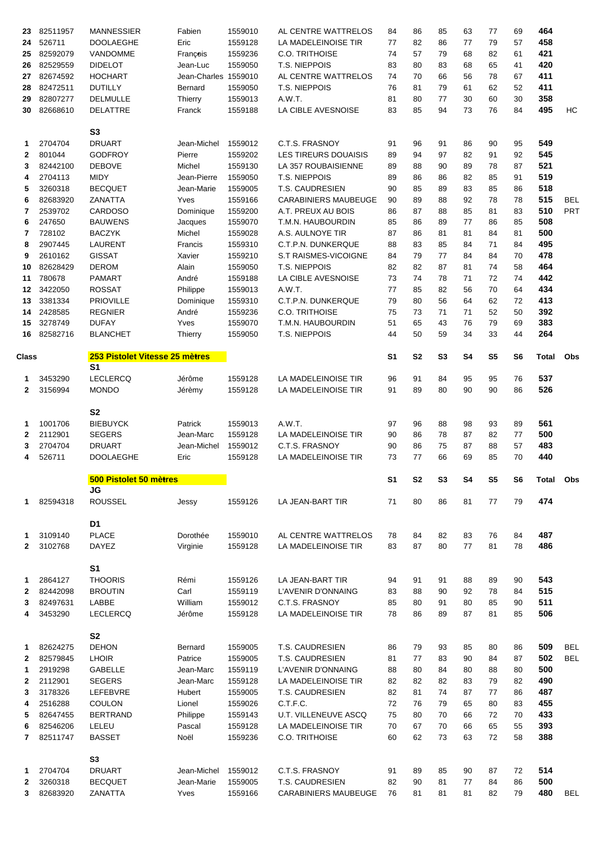| 23           | 82511957            | <b>MANNESSIER</b>              | Fabien               | 1559010            | AL CENTRE WATTRELOS                            | 84             | 86             | 85       | 63        | 77             | 69             | 464          |            |
|--------------|---------------------|--------------------------------|----------------------|--------------------|------------------------------------------------|----------------|----------------|----------|-----------|----------------|----------------|--------------|------------|
| 24           | 526711              | <b>DOOLAEGHE</b>               | Eric                 | 1559128            | LA MADELEINOISE TIR                            | 77             | 82             | 86       | 77        | 79             | 57             | 458          |            |
| 25           | 82592079            | VANDOMME                       | François             | 1559236            | <b>C.O. TRITHOISE</b>                          | 74             | 57             | 79       | 68        | 82             | 61             | 421          |            |
| 26           | 82529559            | <b>DIDELOT</b>                 | Jean-Luc             | 1559050            | <b>T.S. NIEPPOIS</b>                           | 83             | 80             | 83       | 68        | 65             | 41             | 420          |            |
| 27           | 82674592            | <b>HOCHART</b>                 | Jean-Charles 1559010 |                    | AL CENTRE WATTRELOS                            | 74             | 70             | 66       | 56        | 78             | 67             | 411          |            |
| 28           | 82472511            | <b>DUTILLY</b>                 | Bernard              | 1559050            | T.S. NIEPPOIS                                  | 76             | 81             | 79       | 61        | 62             | 52             | 411          |            |
| 29           | 82807277            | <b>DELMULLE</b>                | Thierry              | 1559013            | A.W.T.                                         | 81             | 80             | 77       | 30        | 60             | 30             | 358          |            |
|              |                     |                                |                      |                    |                                                | 83             | 85             | 94       | 73        | 76             | 84             | 495          | HC         |
| 30           | 82668610            | <b>DELATTRE</b>                | Franck               | 1559188            | LA CIBLE AVESNOISE                             |                |                |          |           |                |                |              |            |
|              |                     |                                |                      |                    |                                                |                |                |          |           |                |                |              |            |
|              |                     | S <sub>3</sub>                 |                      |                    |                                                |                |                |          |           |                |                |              |            |
| 1            | 2704704             | <b>DRUART</b>                  | Jean-Michel          | 1559012            | C.T.S. FRASNOY                                 | 91             | 96             | 91       | 86        | 90             | 95             | 549          |            |
| 2            | 801044              | <b>GODFROY</b>                 | Pierre               | 1559202            | <b>LES TIREURS DOUAISIS</b>                    | 89             | 94             | 97       | 82        | 91             | 92             | 545          |            |
| 3            | 82442100            | <b>DEBOVE</b>                  | Michel               | 1559130            | <b>LA 357 ROUBAISIENNE</b>                     | 89             | 88             | 90       | 89        | 78             | 87             | 521          |            |
| 4            | 2704113             | <b>MIDY</b>                    | Jean-Pierre          | 1559050            | T.S. NIEPPOIS                                  | 89             | 86             | 86       | 82        | 85             | 91             | 519          |            |
| 5            | 3260318             | <b>BECQUET</b>                 | Jean-Marie           | 1559005            | T.S. CAUDRESIEN                                | 90             | 85             | 89       | 83        | 85             | 86             | 518          |            |
| 6            | 82683920            | ZANATTA                        | Yves                 | 1559166            | <b>CARABINIERS MAUBEUGE</b>                    | 90             | 89             | 88       | 92        | 78             | 78             | 515          | <b>BEL</b> |
| 7            | 2539702             | <b>CARDOSO</b>                 | Dominique            | 1559200            | A.T. PREUX AU BOIS                             | 86             | 87             | 88       | 85        | 81             | 83             | 510          | <b>PRT</b> |
| 6            | 247650              | <b>BAUWENS</b>                 | Jacques              | 1559070            | T.M.N. HAUBOURDIN                              | 85             | 86             | 89       | 77        | 86             | 85             | 508          |            |
| 7            | 728102              | <b>BACZYK</b>                  | Michel               | 1559028            | A.S. AULNOYE TIR                               | 87             | 86             | 81       | 81        | 84             | 81             | 500          |            |
| 8            | 2907445             | <b>LAURENT</b>                 | Francis              | 1559310            | C.T.P.N. DUNKERQUE                             | 88             | 83             | 85       | 84        | 71             | 84             | 495          |            |
| 9            | 2610162             | <b>GISSAT</b>                  | Xavier               | 1559210            | S.T RAISMES-VICOIGNE                           | 84             | 79             | 77       | 84        | 84             | 70             | 478          |            |
| 10           | 82628429            | <b>DEROM</b>                   | Alain                | 1559050            | T.S. NIEPPOIS                                  | 82             | 82             | 87       | 81        | 74             | 58             | 464          |            |
| 11           | 780678              | <b>PAMART</b>                  | André                | 1559188            | LA CIBLE AVESNOISE                             | 73             | 74             | 78       | 71        | 72             | 74             | 442          |            |
| 12           | 3422050             | <b>ROSSAT</b>                  | Philippe             | 1559013            | A.W.T.                                         | 77             | 85             | 82       | 56        | 70             | 64             | 434          |            |
| 13           | 3381334             | <b>PRIOVILLE</b>               | Dominique            | 1559310            | C.T.P.N. DUNKERQUE                             | 79             | 80             | 56       | 64        | 62             | 72             | 413          |            |
| 14           | 2428585             | <b>REGNIER</b>                 | André                | 1559236            | C.O. TRITHOISE                                 | 75             | 73             | 71       | 71        | 52             | 50             | 392          |            |
|              |                     |                                |                      |                    |                                                |                | 65             |          |           | 79             |                | 383          |            |
| 15           | 3278749             | <b>DUFAY</b>                   | Yves                 | 1559070            | T.M.N. HAUBOURDIN                              | 51             |                | 43       | 76        |                | 69             |              |            |
| 16           | 82582716            | <b>BLANCHET</b>                | Thierry              | 1559050            | T.S. NIEPPOIS                                  | 44             | 50             | 59       | 34        | 33             | 44             | 264          |            |
|              |                     |                                |                      |                    |                                                |                |                |          |           |                |                |              |            |
| Class        |                     | 253 Pistolet Vitesse 25 mètres |                      |                    |                                                | S <sub>1</sub> | S <sub>2</sub> | S3       | <b>S4</b> | S5             | S <sub>6</sub> | <b>Total</b> | Obs        |
|              |                     | S1                             |                      |                    |                                                |                |                |          |           |                |                |              |            |
| 1            | 3453290             | <b>LECLERCQ</b>                | Jérôme               | 1559128            | LA MADELEINOISE TIR                            | 96             | 91             | 84       | 95        | 95             | 76             | 537          |            |
| $\mathbf{2}$ | 3156994             | <b>MONDO</b>                   | Jérèmy               | 1559128            | LA MADELEINOISE TIR                            | 91             | 89             | 80       | 90        | 90             | 86             | 526          |            |
|              |                     |                                |                      |                    |                                                |                |                |          |           |                |                |              |            |
|              |                     | S <sub>2</sub>                 |                      |                    |                                                |                |                |          |           |                |                |              |            |
|              |                     |                                |                      |                    |                                                |                |                |          |           |                |                |              |            |
| 1            | 1001706             | <b>BIEBUYCK</b>                | Patrick              | 1559013            | A.W.T.                                         | 97             | 96             | 88       | 98        | 93             | 89             | 561          |            |
| $\mathbf{2}$ | 2112901             | <b>SEGERS</b>                  | Jean-Marc            | 1559128            | LA MADELEINOISE TIR                            | 90             | 86             | 78       | 87        | 82             | 77             | 500          |            |
| 3            | 2704704             | <b>DRUART</b>                  | Jean-Michel          | 1559012            | C.T.S. FRASNOY                                 | 90             | 86             | 75       | 87        | 88             | 57             | 483          |            |
| 4            | 526711              | <b>DOOLAEGHE</b>               | Eric                 | 1559128            | LA MADELEINOISE TIR                            | 73             | 77             | 66       | 69        | 85             | 70             | 440          |            |
|              |                     |                                |                      |                    |                                                |                |                |          |           |                |                |              |            |
|              |                     | 500 Pistolet 50 mètres         |                      |                    |                                                | S <sub>1</sub> | S <sub>2</sub> | S3       | <b>S4</b> | S <sub>5</sub> | S6             | Total Obs    |            |
|              |                     | JG                             |                      |                    |                                                |                |                |          |           |                |                |              |            |
| 1.           | 82594318            | <b>ROUSSEL</b>                 | Jessy                | 1559126            | LA JEAN-BART TIR                               | 71             | 80             | 86       | 81        | 77             | 79             | 474          |            |
|              |                     |                                |                      |                    |                                                |                |                |          |           |                |                |              |            |
|              |                     | D <sub>1</sub>                 |                      |                    |                                                |                |                |          |           |                |                |              |            |
| 1            | 3109140             | <b>PLACE</b>                   | Dorothée             | 1559010            | AL CENTRE WATTRELOS                            | 78             | 84             | 82       | 83        | 76             | 84             | 487          |            |
| $\mathbf{2}$ | 3102768             | <b>DAYEZ</b>                   | Virginie             | 1559128            | LA MADELEINOISE TIR                            | 83             | 87             | 80       | 77        | 81             | 78             | 486          |            |
|              |                     |                                |                      |                    |                                                |                |                |          |           |                |                |              |            |
|              |                     | S <sub>1</sub>                 |                      |                    |                                                |                |                |          |           |                |                |              |            |
| 1            | 2864127             | <b>THOORIS</b>                 | Rémi                 | 1559126            | LA JEAN-BART TIR                               | 94             | 91             | 91       | 88        | 89             | 90             | 543          |            |
| 2            | 82442098            | <b>BROUTIN</b>                 | Carl                 | 1559119            | L'AVENIR D'ONNAING                             | 83             | 88             | 90       | 92        | 78             | 84             | 515          |            |
| 3            | 82497631            | LABBE                          | William              | 1559012            | C.T.S. FRASNOY                                 | 85             | 80             | 91       | 80        | 85             | 90             | 511          |            |
| 4            | 3453290             |                                | Jérôme               | 1559128            | LA MADELEINOISE TIR                            | 78             | 86             | 89       | 87        | 81             | 85             | 506          |            |
|              |                     | LECLERCQ                       |                      |                    |                                                |                |                |          |           |                |                |              |            |
|              |                     |                                |                      |                    |                                                |                |                |          |           |                |                |              |            |
| 1.           | 82624275            | <b>S2</b><br><b>DEHON</b>      | Bernard              | 1559005            | T.S. CAUDRESIEN                                | 86             | 79             | 93       | 85        | 80             | 86             | 509          | <b>BEL</b> |
| $\mathbf{2}$ | 82579845            |                                | Patrice              | 1559005            | T.S. CAUDRESIEN                                | 81             | 77             | 83       | 90        | 84             | 87             | 502          | <b>BEL</b> |
|              |                     | <b>LHOIR</b>                   |                      |                    |                                                |                |                |          |           |                |                |              |            |
| 1            | 2919298             | <b>GABELLE</b>                 | Jean-Marc            | 1559119            | L'AVENIR D'ONNAING                             | 88             | 80             | 84       | 80        | 88             | 80             | 500          |            |
| 2            | 2112901             | <b>SEGERS</b>                  | Jean-Marc            | 1559128            | LA MADELEINOISE TIR                            | 82             | 82             | 82       | 83        | 79             | 82             | 490          |            |
| 3            | 3178326             | LEFEBVRE                       | Hubert               | 1559005            | T.S. CAUDRESIEN                                | 82             | 81             | 74       | 87        | 77             | 86             | 487          |            |
| 4            | 2516288             | <b>COULON</b>                  | Lionel               | 1559026            | C.T.F.C.                                       | 72             | 76             | 79       | 65        | 80             | 83             | 455          |            |
| 5            | 82647455            | <b>BERTRAND</b>                | Philippe             | 1559143            | <b>U.T. VILLENEUVE ASCQ</b>                    | 75             | 80             | 70       | 66        | 72             | 70             | 433          |            |
| 6            | 82546206            | LELEU                          | Pascal               | 1559128            | LA MADELEINOISE TIR                            | 70             | 67             | 70       | 66        | 65             | 55             | 393          |            |
| $\mathbf{7}$ | 82511747            | <b>BASSET</b>                  | Noël                 | 1559236            | <b>C.O. TRITHOISE</b>                          | 60             | 62             | 73       | 63        | 72             | 58             | 388          |            |
|              |                     |                                |                      |                    |                                                |                |                |          |           |                |                |              |            |
|              |                     | S <sub>3</sub>                 |                      |                    |                                                |                |                |          |           |                |                |              |            |
| 1            | 2704704             | <b>DRUART</b>                  | Jean-Michel          | 1559012            | C.T.S. FRASNOY                                 | 91             | 89             | 85       | 90        | 87             | 72             | 514          |            |
| 2<br>3       | 3260318<br>82683920 | <b>BECQUET</b><br>ZANATTA      | Jean-Marie<br>Yves   | 1559005<br>1559166 | T.S. CAUDRESIEN<br><b>CARABINIERS MAUBEUGE</b> | 82<br>76       | 90<br>81       | 81<br>81 | 77<br>81  | 84<br>82       | 86<br>79       | 500<br>480   | BEL        |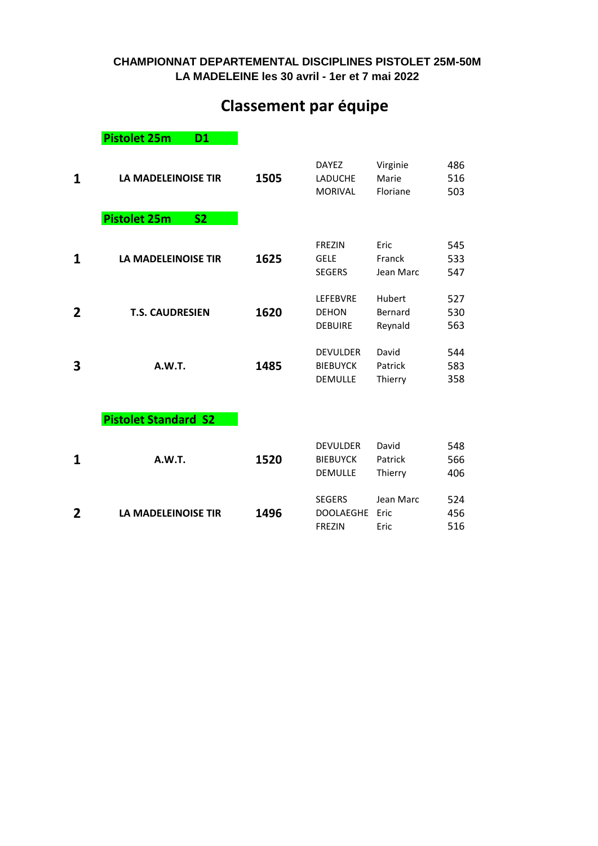#### **LA MADELEINE les 30 avril - 1er et 7 mai 2022 CHAMPIONNAT DEPARTEMENTAL DISCIPLINES PISTOLET 25M-50M**

## **Classement par équipe**

**Pistolet 25m D1** 

| 1            | <b>LA MADELEINOISE TIR</b>       | 1505 | <b>DAYEZ</b><br><b>LADUCHE</b><br><b>MORIVAL</b>     | Virginie<br>Marie<br>Floriane | 486<br>516<br>503 |
|--------------|----------------------------------|------|------------------------------------------------------|-------------------------------|-------------------|
|              | <b>Pistolet 25m</b><br><b>S2</b> |      |                                                      |                               |                   |
| 1            | <b>LA MADELEINOISE TIR</b>       | 1625 | <b>FREZIN</b><br><b>GELE</b><br><b>SEGERS</b>        | Eric<br>Franck<br>Jean Marc   | 545<br>533<br>547 |
| $\mathbf{2}$ | <b>T.S. CAUDRESIEN</b>           | 1620 | <b>LEFEBVRE</b><br><b>DEHON</b><br><b>DEBUIRE</b>    | Hubert<br>Bernard<br>Reynald  | 527<br>530<br>563 |
| 3            | A.W.T.                           | 1485 | <b>DEVULDER</b><br><b>BIEBUYCK</b><br><b>DEMULLE</b> | David<br>Patrick<br>Thierry   | 544<br>583<br>358 |
|              | <b>Pistolet Standard S2</b>      |      |                                                      |                               |                   |
| 1            | A.W.T.                           | 1520 | <b>DEVULDER</b><br><b>BIEBUYCK</b><br><b>DEMULLE</b> | David<br>Patrick<br>Thierry   | 548<br>566<br>406 |
| 2            | <b>LA MADELEINOISE TIR</b>       | 1496 | <b>SEGERS</b><br><b>DOOLAEGHE</b><br><b>FREZIN</b>   | Jean Marc<br>Eric<br>Eric     | 524<br>456<br>516 |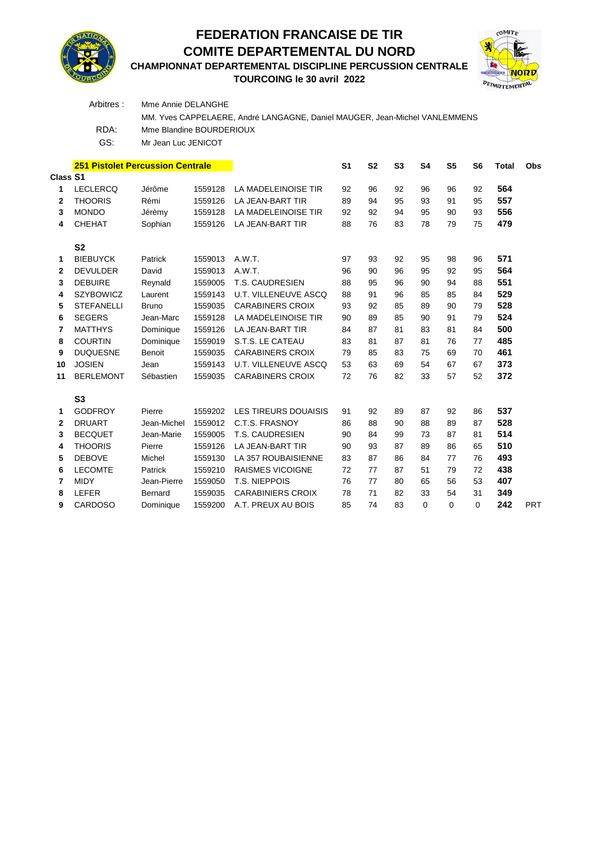

### **FEDERATION FRANCAISE DE TIR COMITE DEPARTEMENTAL DU NORD**

**CHAMPIONNAT DEPARTEMENTAL DISCIPLINE PERCUSSION CENTRALE**

**TOURCOING le 30 avril 2022**



|                 | Arbitres:                               | Mme Annie DELANGHE       |         |                                                                            |                |           |                |           |                |                |              |            |
|-----------------|-----------------------------------------|--------------------------|---------|----------------------------------------------------------------------------|----------------|-----------|----------------|-----------|----------------|----------------|--------------|------------|
|                 |                                         |                          |         | MM. Yves CAPPELAERE, André LANGAGNE, Daniel MAUGER, Jean-Michel VANLEMMENS |                |           |                |           |                |                |              |            |
|                 | RDA:                                    | Mme Blandine BOURDERIOUX |         |                                                                            |                |           |                |           |                |                |              |            |
|                 | GS:                                     | Mr Jean Luc JENICOT      |         |                                                                            |                |           |                |           |                |                |              |            |
|                 |                                         |                          |         |                                                                            |                |           |                |           |                |                |              |            |
|                 | <b>251 Pistolet Percussion Centrale</b> |                          |         |                                                                            | S <sub>1</sub> | <b>S2</b> | S <sub>3</sub> | <b>S4</b> | S <sub>5</sub> | S <sub>6</sub> | <b>Total</b> | Obs        |
| <b>Class S1</b> |                                         |                          |         |                                                                            |                |           |                |           |                |                |              |            |
| 1               | <b>LECLERCQ</b>                         | Jérôme                   | 1559128 | LA MADELEINOISE TIR                                                        | 92             | 96        | 92             | 96        | 96             | 92             | 564          |            |
| $\mathbf{2}$    | <b>THOORIS</b>                          | Rémi                     | 1559126 | <b>LA JEAN-BART TIR</b>                                                    | 89             | 94        | 95             | 93        | 91             | 95             | 557          |            |
| 3               | <b>MONDO</b>                            | Jérèmy                   | 1559128 | LA MADELEINOISE TIR                                                        | 92             | 92        | 94             | 95        | 90             | 93             | 556          |            |
| 4               | <b>CHEHAT</b>                           | Sophian                  | 1559126 | LA JEAN-BART TIR                                                           | 88             | 76        | 83             | 78        | 79             | 75             | 479          |            |
|                 | S <sub>2</sub>                          |                          |         |                                                                            |                |           |                |           |                |                |              |            |
| 1               | <b>BIEBUYCK</b>                         | Patrick                  | 1559013 | A.W.T.                                                                     | 97             | 93        | 92             | 95        | 98             | 96             | 571          |            |
| $\mathbf{2}$    | <b>DEVULDER</b>                         | David                    | 1559013 | A.W.T.                                                                     | 96             | 90        | 96             | 95        | 92             | 95             | 564          |            |
| 3               | <b>DEBUIRE</b>                          | Reynald                  | 1559005 | T.S. CAUDRESIEN                                                            | 88             | 95        | 96             | 90        | 94             | 88             | 551          |            |
| 4               | <b>SZYBOWICZ</b>                        | Laurent                  | 1559143 | <b>U.T. VILLENEUVE ASCQ</b>                                                | 88             | 91        | 96             | 85        | 85             | 84             | 529          |            |
| 5               | <b>STEFANELLI</b>                       | <b>Bruno</b>             | 1559035 | <b>CARABINERS CROIX</b>                                                    | 93             | 92        | 85             | 89        | 90             | 79             | 528          |            |
| 6               | <b>SEGERS</b>                           | Jean-Marc                | 1559128 | LA MADELEINOISE TIR                                                        | 90             | 89        | 85             | 90        | 91             | 79             | 524          |            |
| 7               | <b>MATTHYS</b>                          | Dominique                | 1559126 | LA JEAN-BART TIR                                                           | 84             | 87        | 81             | 83        | 81             | 84             | 500          |            |
| 8               | <b>COURTIN</b>                          | Dominique                | 1559019 | S.T.S. LE CATEAU                                                           | 83             | 81        | 87             | 81        | 76             | 77             | 485          |            |
| 9               | <b>DUQUESNE</b>                         | Benoit                   | 1559035 | <b>CARABINERS CROIX</b>                                                    | 79             | 85        | 83             | 75        | 69             | 70             | 461          |            |
| 10              | <b>JOSIEN</b>                           | Jean                     | 1559143 | <b>U.T. VILLENEUVE ASCQ</b>                                                | 53             | 63        | 69             | 54        | 67             | 67             | 373          |            |
| 11              | <b>BERLEMONT</b>                        | Sébastien                | 1559035 | <b>CARABINERS CROIX</b>                                                    | 72             | 76        | 82             | 33        | 57             | 52             | 372          |            |
|                 |                                         |                          |         |                                                                            |                |           |                |           |                |                |              |            |
|                 | S <sub>3</sub>                          |                          |         |                                                                            |                |           |                |           |                |                |              |            |
| 1               | <b>GODFROY</b>                          | Pierre                   | 1559202 | LES TIREURS DOUAISIS                                                       | 91             | 92        | 89             | 87        | 92             | 86             | 537          |            |
| $\mathbf{2}$    | <b>DRUART</b>                           | Jean-Michel              | 1559012 | C.T.S. FRASNOY                                                             | 86             | 88        | 90             | 88        | 89             | 87             | 528          |            |
| 3               | <b>BECQUET</b>                          | Jean-Marie               | 1559005 | T.S. CAUDRESIEN                                                            | 90             | 84        | 99             | 73        | 87             | 81             | 514          |            |
| 4               | <b>THOORIS</b>                          | Pierre                   | 1559126 | LA JEAN-BART TIR                                                           | 90             | 93        | 87             | 89        | 86             | 65             | 510          |            |
| 5               | <b>DEBOVE</b>                           | Michel                   | 1559130 | LA 357 ROUBAISIENNE                                                        | 83             | 87        | 86             | 84        | 77             | 76             | 493          |            |
| 6               | <b>LECOMTE</b>                          | Patrick                  | 1559210 | <b>RAISMES VICOIGNE</b>                                                    | 72             | 77        | 87             | 51        | 79             | 72             | 438          |            |
| 7               | <b>MIDY</b>                             | Jean-Pierre              | 1559050 | T.S. NIEPPOIS                                                              | 76             | 77        | 80             | 65        | 56             | 53             | 407          |            |
| 8               | LEFER                                   | Bernard                  | 1559035 | <b>CARABINIERS CROIX</b>                                                   | 78             | 71        | 82             | 33        | 54             | 31             | 349          |            |
| 9               | <b>CARDOSO</b>                          | Dominique                | 1559200 | A.T. PREUX AU BOIS                                                         | 85             | 74        | 83             | 0         | 0              | $\Omega$       | 242          | <b>PRT</b> |